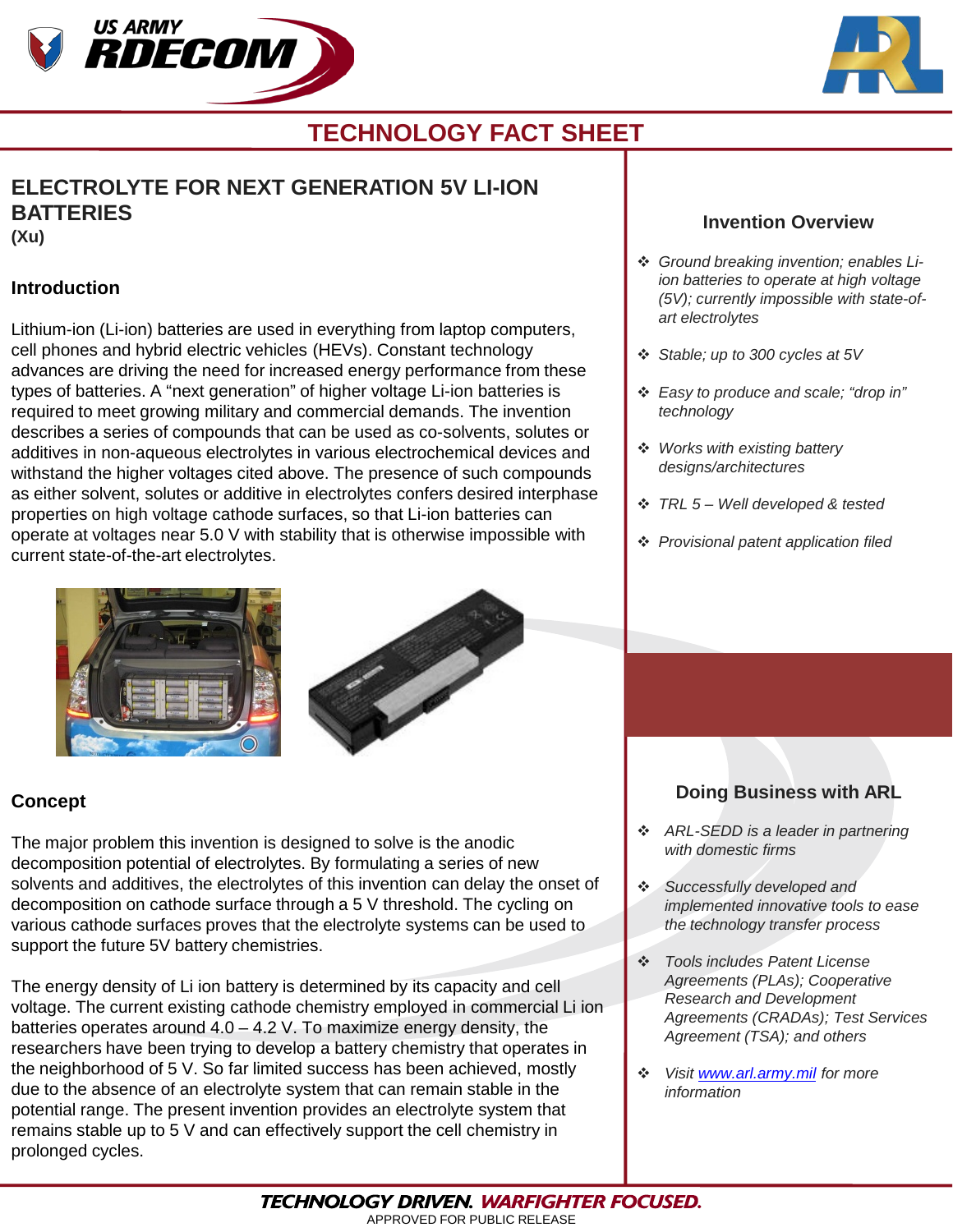



# **TECHNOLOGY FACT SHEET**

# **ELECTROLYTE FOR NEXT GENERATION 5V LI-ION BATTERIES**

**(Xu)**

### **Introduction**

Lithium-ion (Li-ion) batteries are used in everything from laptop computers, cell phones and hybrid electric vehicles (HEVs). Constant technology advances are driving the need for increased energy performance from these types of batteries. A "next generation" of higher voltage Li-ion batteries is required to meet growing military and commercial demands. The invention describes a series of compounds that can be used as co-solvents, solutes or additives in non-aqueous electrolytes in various electrochemical devices and withstand the higher voltages cited above. The presence of such compounds as either solvent, solutes or additive in electrolytes confers desired interphase properties on high voltage cathode surfaces, so that Li-ion batteries can operate at voltages near 5.0 V with stability that is otherwise impossible with current state-of-the-art electrolytes.





### **Concept**

The major problem this invention is designed to solve is the anodic decomposition potential of electrolytes. By formulating a series of new solvents and additives, the electrolytes of this invention can delay the onset of decomposition on cathode surface through a 5 V threshold. The cycling on various cathode surfaces proves that the electrolyte systems can be used to support the future 5V battery chemistries.

The energy density of Li ion battery is determined by its capacity and cell voltage. The current existing cathode chemistry employed in commercial Li ion batteries operates around 4.0 – 4.2 V. To maximize energy density, the researchers have been trying to develop a battery chemistry that operates in the neighborhood of 5 V. So far limited success has been achieved, mostly due to the absence of an electrolyte system that can remain stable in the potential range. The present invention provides an electrolyte system that remains stable up to 5 V and can effectively support the cell chemistry in prolonged cycles.

#### **Invention Overview**

- *Ground breaking invention; enables Liion batteries to operate at high voltage (5V); currently impossible with state-ofart electrolytes*
- *Stable; up to 300 cycles at 5V*
- *Easy to produce and scale; "drop in" technology*
- *Works with existing battery designs/architectures*
- *TRL 5 – Well developed & tested*
- *Provisional patent application filed*

### **Doing Business with ARL**

- *ARL-SEDD is a leader in partnering with domestic firms*
- *Successfully developed and implemented innovative tools to ease the technology transfer process*
- *Tools includes Patent License Agreements (PLAs); Cooperative Research and Development Agreements (CRADAs); Test Services Agreement (TSA); and others*
- *Visit [www.arl.army.mil](http://www.arl.army.mil/) for more information*